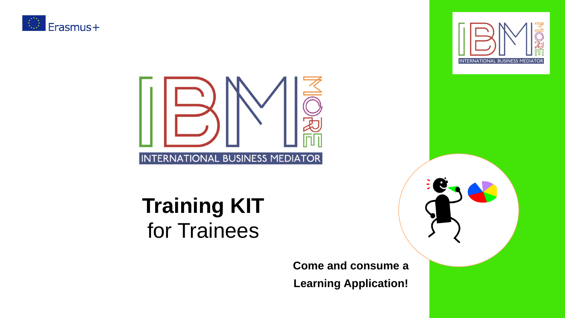





## **Training KIT**  for Trainees

#### **Come and consume a Learning Application!**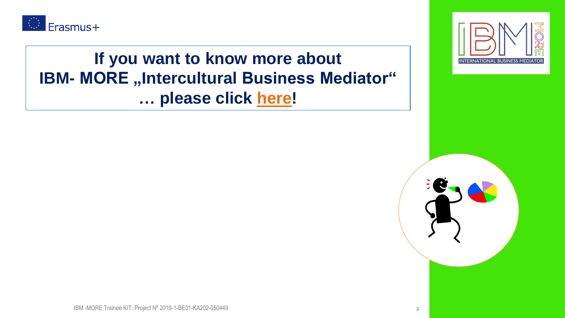

#### **If you want to know more about IBM- MORE "Intercultural Business Mediator" … please click [here!](https://youtu.be/AqOWJipy2mI)**



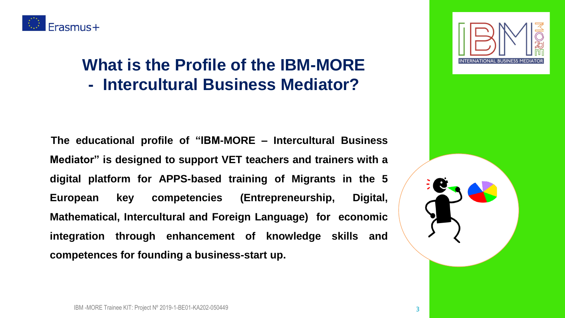

#### **What is the Profile of the IBM-MORE - Intercultural Business Mediator?**

**The educational profile of "IBM-MORE – Intercultural Business Mediator" is designed to support VET teachers and trainers with a digital platform for APPS-based training of Migrants in the 5 European key competencies (Entrepreneurship, Digital, Mathematical, Intercultural and Foreign Language) for economic integration through enhancement of knowledge skills and competences for founding a business-start up.**

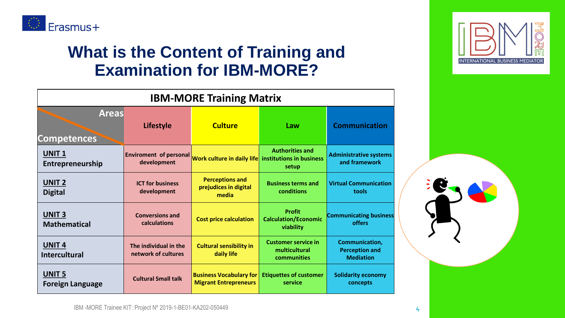

#### **What is the Content of Training and Examination for IBM-MORE?**

| <b>IBM-MORE Training Matrix</b>           |                                              |                                                                |                                                            |                                                                    |
|-------------------------------------------|----------------------------------------------|----------------------------------------------------------------|------------------------------------------------------------|--------------------------------------------------------------------|
| <b>Areas</b><br><b>Competences</b>        | <b>Lifestyle</b>                             | <b>Culture</b>                                                 | Law                                                        | <b>Communication</b>                                               |
| <b>UNIT1</b><br>Entrepreneurship          | <b>Enviroment of personal</b><br>development | Work culture in daily life institutions in business            | <b>Authorities and</b><br>setup                            | <b>Administrative systems</b><br>and framework                     |
| <b>UNIT 2</b><br><b>Digital</b>           | <b>ICT for business</b><br>development       | <b>Perceptions and</b><br>prejudices in digital<br>media       | <b>Business terms and</b><br>conditions                    | <b>Virtual Communication</b><br>tools                              |
| <b>UNIT 3</b><br><b>Mathematical</b>      | <b>Conversions and</b><br>calculations       | <b>Cost price calculation</b>                                  | <b>Profit</b><br><b>Calculation/Economic</b><br>viability  | <b>Communicating business</b><br>offers                            |
| UNIT <sub>4</sub><br><b>Intercultural</b> | The individual in the<br>network of cultures | <b>Cultural sensibility in</b><br>daily life                   | <b>Customer service in</b><br>multicultural<br>communities | <b>Communication,</b><br><b>Perception and</b><br><b>Mediation</b> |
| <b>UNIT 5</b><br>Foreign Language         | <b>Cultural Small talk</b>                   | <b>Business Vocabulary for</b><br><b>Migrant Entrepreneurs</b> | <b>Etiquettes of customer</b><br>service                   | <b>Solidarity economy</b><br>concepts                              |

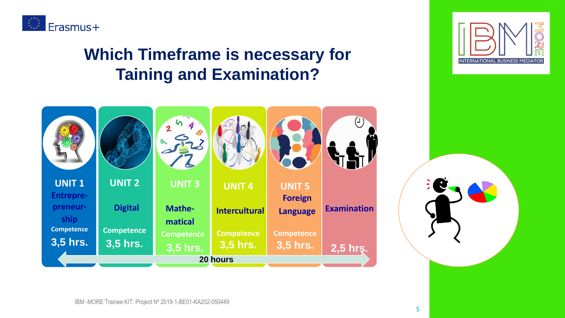

#### **Which Timeframe is necessary for Taining and Examination?**



IBM -MORE Trainee KIT: Project Nº 2019-1-BE01-KA202-050449



**5**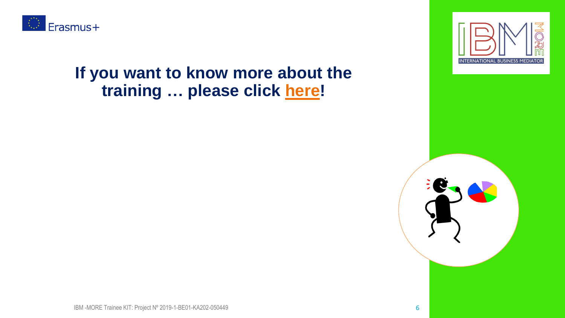

#### **If you want to know more about the training … please click [here!](https://youtu.be/kAOavVoxt-Y)**



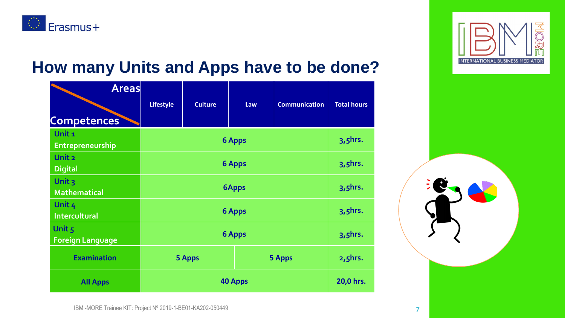

#### **How many Units and Apps have to be done?**

| <b>Areas</b><br><b>Competences</b>    | <b>Lifestyle</b>             | <b>Culture</b> | Law | <b>Communication</b> | <b>Total hours</b> |
|---------------------------------------|------------------------------|----------------|-----|----------------------|--------------------|
| Unit <sub>1</sub><br>Entrepreneurship | <b>6 Apps</b>                |                |     | $3, 5$ hrs.          |                    |
| Unit 2<br><b>Digital</b>              | <b>6 Apps</b>                |                |     | $3,5$ hrs.           |                    |
| Unit $3$<br><b>Mathematical</b>       | <b>6Apps</b>                 |                |     | $3, 5$ hrs.          |                    |
| Unit 4<br><b>Intercultural</b>        | <b>6 Apps</b>                |                |     | $3, 5$ hrs.          |                    |
| Unit 5<br><b>Foreign Language</b>     | <b>6 Apps</b><br>$3, 5$ hrs. |                |     |                      |                    |
| <b>Examination</b>                    |                              | <b>5 Apps</b>  |     | <b>5 Apps</b>        | $2, 5$ hrs.        |
| <b>All Apps</b>                       | <b>40 Apps</b>               |                |     | 20,0 hrs.            |                    |



IBM -MORE Trainee KIT: Project Nº 2019-1-BE01-KA202-050449 **7**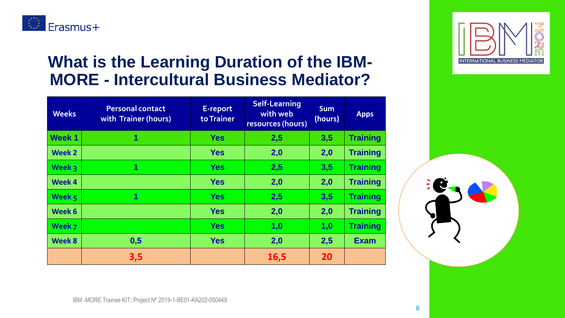

#### **What is the Learning Duration of the IBM-MORE - Intercultural Business Mediator?**

| <b>Weeks</b>  | <b>Personal contact</b><br>with Trainer (hours) | E-report<br>to Trainer | <b>Self-Learning</b><br>with web<br>resources (hours) | <b>Sum</b><br>(hours) | <b>Apps</b>     |
|---------------|-------------------------------------------------|------------------------|-------------------------------------------------------|-----------------------|-----------------|
| <b>Week 1</b> | 1                                               | <b>Yes</b>             | 2,5                                                   | 3,5                   | <b>Training</b> |
| Week 2        |                                                 | <b>Yes</b>             | 2,0                                                   | 2,0                   | <b>Training</b> |
| Week 3        | 1                                               | <b>Yes</b>             | 2,5                                                   | 3,5                   | <b>Training</b> |
| Week 4        |                                                 | <b>Yes</b>             | 2,0                                                   | 2,0                   | <b>Training</b> |
| Week $5$      | 1                                               | <b>Yes</b>             | 2,5                                                   | 3,5                   | <b>Training</b> |
| Week 6        |                                                 | <b>Yes</b>             | 2,0                                                   | 2,0                   | <b>Training</b> |
| Week 7        |                                                 | <b>Yes</b>             | 1,0                                                   | 1,0                   | <b>Training</b> |
| Week 8        | 0,5                                             | <b>Yes</b>             | 2,0                                                   | 2,5                   | <b>Exam</b>     |
|               | 3,5                                             |                        | <b>16,5</b>                                           | <b>20</b>             |                 |

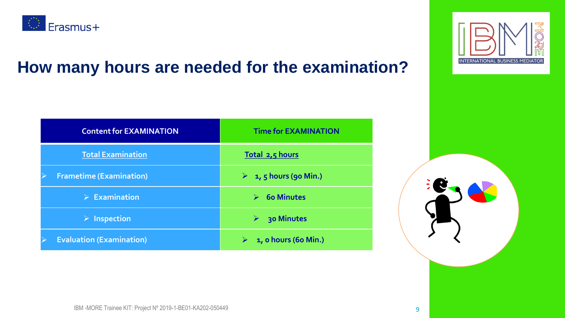

#### **How many hours are needed for the examination?**

| <b>Content for EXAMINATION</b>  | <b>Time for EXAMINATION</b>                |  |
|---------------------------------|--------------------------------------------|--|
| <b>Total Examination</b>        | Total 2,5 hours                            |  |
| <b>Frametime (Examination)</b>  | $\triangleright$ 1, 5 hours (90 Min.)      |  |
| $\triangleright$ Examination    | <b>60 Minutes</b><br>$\blacktriangleright$ |  |
| <b>Inspection</b><br>≻          | 30 Minutes<br>➤                            |  |
| <b>Evaluation (Examination)</b> | 1, o hours (60 Min.)                       |  |



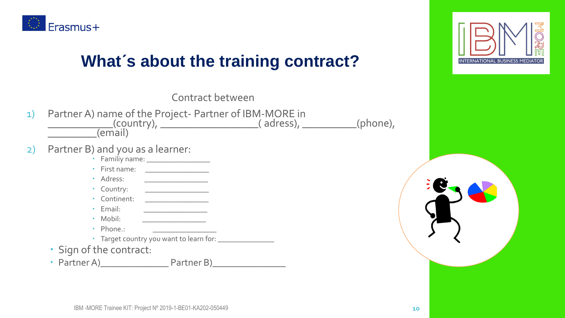

#### **What´s about the training contract?**



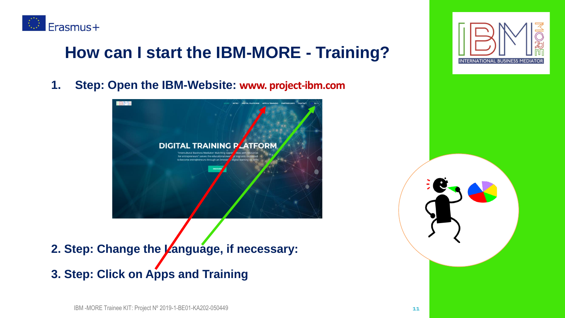

#### **How can I start the IBM-MORE - Training?**

**1. Step: Open the IBM-Website: www. project-ibm.com**



**2. Step: Change the Language, if necessary:**

**3. Step: Click on Apps and Training**

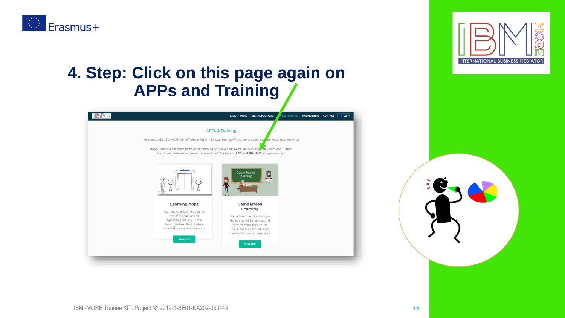





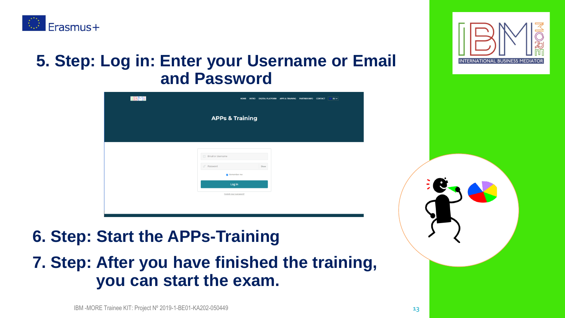

#### **5. Step: Log in: Enter your Username or Email and Password**





### **6. Step: Start the APPs-Training**

#### **7. Step: After you have finished the training, you can start the exam.**